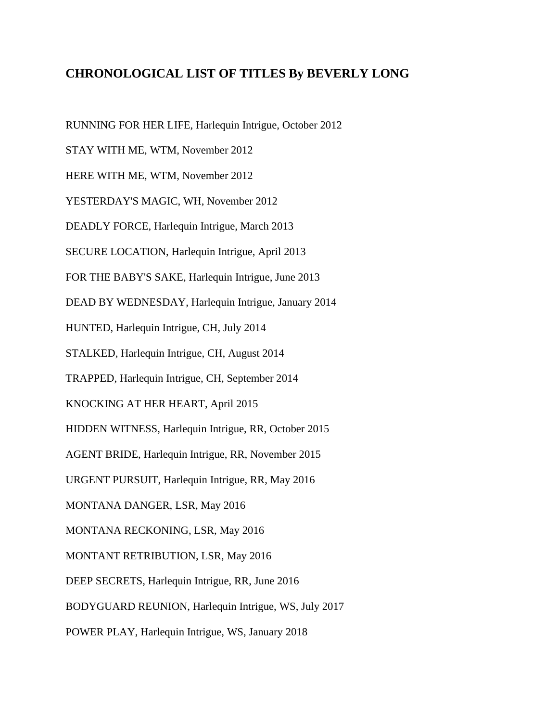## **CHRONOLOGICAL LIST OF TITLES By BEVERLY LONG**

RUNNING FOR HER LIFE, Harlequin Intrigue, October 2012

STAY WITH ME, WTM, November 2012

HERE WITH ME, WTM, November 2012

YESTERDAY'S MAGIC, WH, November 2012

DEADLY FORCE, Harlequin Intrigue, March 2013

SECURE LOCATION, Harlequin Intrigue, April 2013

FOR THE BABY'S SAKE, Harlequin Intrigue, June 2013

DEAD BY WEDNESDAY, Harlequin Intrigue, January 2014

HUNTED, Harlequin Intrigue, CH, July 2014

STALKED, Harlequin Intrigue, CH, August 2014

TRAPPED, Harlequin Intrigue, CH, September 2014

KNOCKING AT HER HEART, April 2015

HIDDEN WITNESS, Harlequin Intrigue, RR, October 2015

AGENT BRIDE, Harlequin Intrigue, RR, November 2015

URGENT PURSUIT, Harlequin Intrigue, RR, May 2016

MONTANA DANGER, LSR, May 2016

MONTANA RECKONING, LSR, May 2016

MONTANT RETRIBUTION, LSR, May 2016

DEEP SECRETS, Harlequin Intrigue, RR, June 2016

BODYGUARD REUNION, Harlequin Intrigue, WS, July 2017

POWER PLAY, Harlequin Intrigue, WS, January 2018